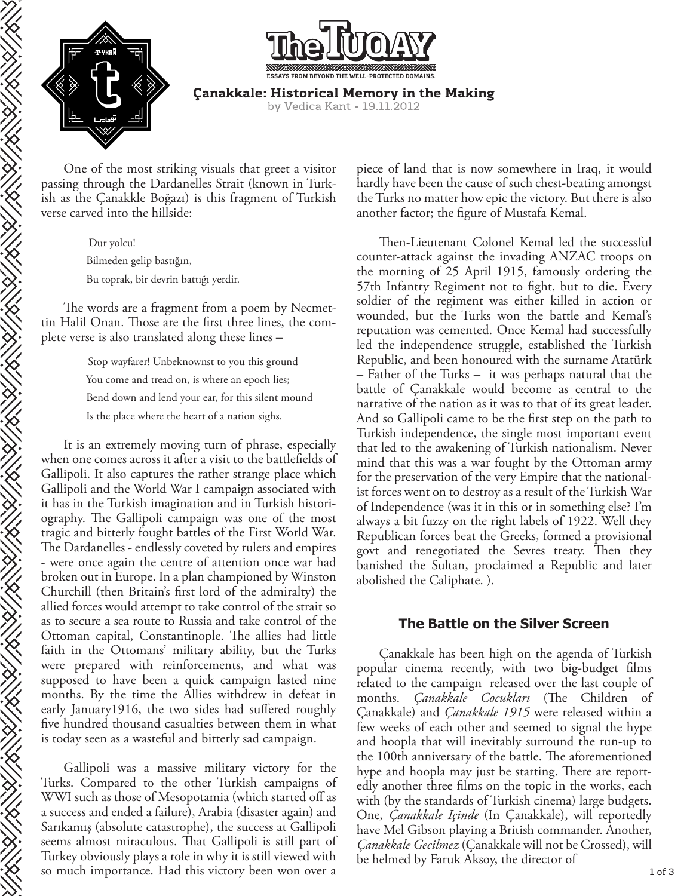



**Çanakkale: Historical Memory in the Making** by Vedica Kant - 19.11.2012

One of the most striking visuals that greet a visitor passing through the Dardanelles Strait (known in Turkish as the Çanakkle Boğazı) is this fragment of Turkish verse carved into the hillside:

> Dur yolcu! Bilmeden gelip bastığın, Bu toprak, bir devrin battığı yerdir.

The words are a fragment from a poem by Necmettin Halil Onan. Those are the first three lines, the complete verse is also translated along these lines –

> Stop wayfarer! Unbeknownst to you this ground You come and tread on, is where an epoch lies; Bend down and lend your ear, for this silent mound Is the place where the heart of a nation sighs.

It is an extremely moving turn of phrase, especially when one comes across it after a visit to the battlefields of Gallipoli. It also captures the rather strange place which Gallipoli and the World War I campaign associated with it has in the Turkish imagination and in Turkish historiography. The Gallipoli campaign was one of the most tragic and bitterly fought battles of the First World War. The Dardanelles - endlessly coveted by rulers and empires - were once again the centre of attention once war had broken out in Europe. In a plan championed by Winston Churchill (then Britain's first lord of the admiralty) the allied forces would attempt to take control of the strait so as to secure a sea route to Russia and take control of the Ottoman capital, Constantinople. The allies had little faith in the Ottomans' military ability, but the Turks were prepared with reinforcements, and what was supposed to have been a quick campaign lasted nine months. By the time the Allies withdrew in defeat in early January1916, the two sides had suffered roughly five hundred thousand casualties between them in what is today seen as a wasteful and bitterly sad campaign.

RANG PANGANG PANGANG PANG

**SERVICE STRATEGIE** 

**CONTROLLER** 

Gallipoli was a massive military victory for the Turks. Compared to the other Turkish campaigns of WWI such as those of Mesopotamia (which started off as a success and ended a failure), Arabia (disaster again) and Sarıkamış (absolute catastrophe), the success at Gallipoli seems almost miraculous. That Gallipoli is still part of Turkey obviously plays a role in why it is still viewed with so much importance. Had this victory been won over a

piece of land that is now somewhere in Iraq, it would hardly have been the cause of such chest-beating amongst the Turks no matter how epic the victory. But there is also another factor; the figure of Mustafa Kemal.

Then-Lieutenant Colonel Kemal led the successful counter-attack against the invading ANZAC troops on the morning of 25 April 1915, famously ordering the 57th Infantry Regiment not to fight, but to die. Every soldier of the regiment was either killed in action or wounded, but the Turks won the battle and Kemal's reputation was cemented. Once Kemal had successfully led the independence struggle, established the Turkish Republic, and been honoured with the surname Atatürk – Father of the Turks – it was perhaps natural that the battle of Çanakkale would become as central to the narrative of the nation as it was to that of its great leader. And so Gallipoli came to be the first step on the path to Turkish independence, the single most important event that led to the awakening of Turkish nationalism. Never mind that this was a war fought by the Ottoman army for the preservation of the very Empire that the nationalist forces went on to destroy as a result of the Turkish War of Independence (was it in this or in something else? I'm always a bit fuzzy on the right labels of 1922. Well they Republican forces beat the Greeks, formed a provisional govt and renegotiated the Sevres treaty. Then they banished the Sultan, proclaimed a Republic and later abolished the Caliphate. ).

## **The Battle on the Silver Screen**

Çanakkale has been high on the agenda of Turkish popular cinema recently, with two big-budget films related to the campaign released over the last couple of months. *Çanakkale Cocukları* (The Children of Çanakkale) and *Çanakkale 1915* were released within a few weeks of each other and seemed to signal the hype and hoopla that will inevitably surround the run-up to the 100th anniversary of the battle. The aforementioned hype and hoopla may just be starting. There are reportedly another three films on the topic in the works, each with (by the standards of Turkish cinema) large budgets. One*, Çanakkale Içinde* (In Çanakkale), will reportedly have Mel Gibson playing a British commander. Another, *Çanakkale Gecilmez* (Çanakkale will not be Crossed), will be helmed by Faruk Aksoy, the director of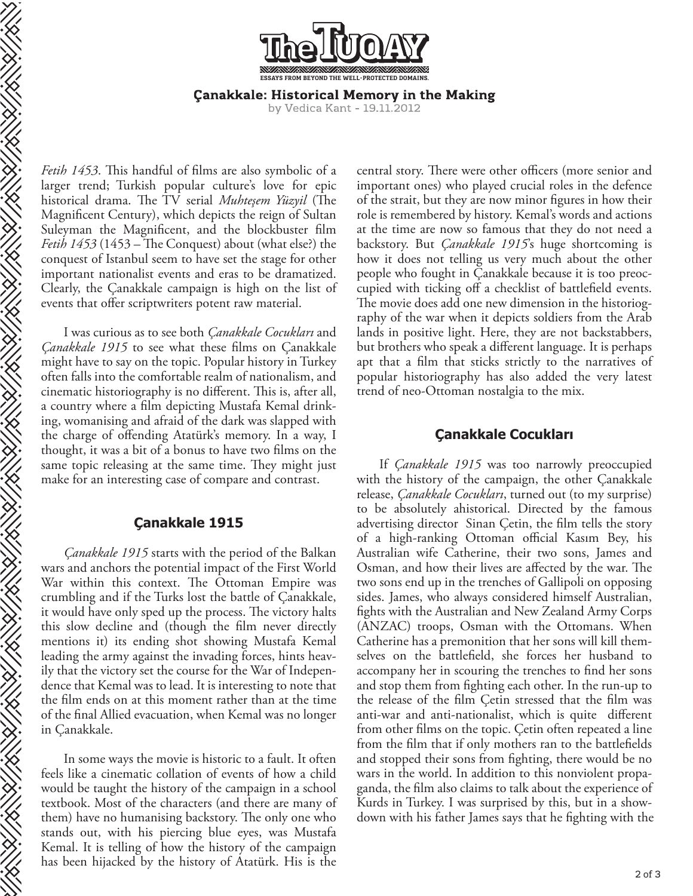**ESSAYS FROM BEYOND THE WELL-PROTECTED DOMAINS.**

**Canakkale: Historical Memory in the Making** 

by Vedica Kant - 19.11.2012

*Fetih 1453*. This handful of films are also symbolic of a larger trend; Turkish popular culture's love for epic historical drama. The TV serial *Muhteşem Yüzyil* (The Magnificent Century), which depicts the reign of Sultan Suleyman the Magnificent, and the blockbuster film *Fetih 1453* (1453 – The Conquest) about (what else?) the conquest of Istanbul seem to have set the stage for other important nationalist events and eras to be dramatized. Clearly, the Çanakkale campaign is high on the list of events that offer scriptwriters potent raw material.

I was curious as to see both *Çanakkale Cocukları* and *Çanakkale 1915* to see what these films on Çanakkale might have to say on the topic. Popular history in Turkey often falls into the comfortable realm of nationalism, and cinematic historiography is no different. This is, after all, a country where a film depicting Mustafa Kemal drinking, womanising and afraid of the dark was slapped with the charge of offending Atatürk's memory. In a way, I thought, it was a bit of a bonus to have two films on the same topic releasing at the same time. They might just make for an interesting case of compare and contrast.

**SERVICE STRATEGIE** 

EN EN ENTRETAINMENT

## **Çanakkale 1915**

*Çanakkale 1915* starts with the period of the Balkan wars and anchors the potential impact of the First World War within this context. The Ottoman Empire was crumbling and if the Turks lost the battle of Çanakkale, it would have only sped up the process. The victory halts this slow decline and (though the film never directly mentions it) its ending shot showing Mustafa Kemal leading the army against the invading forces, hints heavily that the victory set the course for the War of Independence that Kemal was to lead. It is interesting to note that the film ends on at this moment rather than at the time of the final Allied evacuation, when Kemal was no longer in Çanakkale.

In some ways the movie is historic to a fault. It often feels like a cinematic collation of events of how a child would be taught the history of the campaign in a school textbook. Most of the characters (and there are many of them) have no humanising backstory. The only one who stands out, with his piercing blue eyes, was Mustafa Kemal. It is telling of how the history of the campaign has been hijacked by the history of Atatürk. His is the

central story. There were other officers (more senior and important ones) who played crucial roles in the defence of the strait, but they are now minor figures in how their role is remembered by history. Kemal's words and actions at the time are now so famous that they do not need a backstory. But *Çanakkale 1915*'s huge shortcoming is how it does not telling us very much about the other people who fought in Çanakkale because it is too preoccupied with ticking off a checklist of battlefield events. The movie does add one new dimension in the historiography of the war when it depicts soldiers from the Arab lands in positive light. Here, they are not backstabbers, but brothers who speak a different language. It is perhaps apt that a film that sticks strictly to the narratives of popular historiography has also added the very latest trend of neo-Ottoman nostalgia to the mix.

## **Çanakkale Cocukları**

If *Çanakkale 1915* was too narrowly preoccupied with the history of the campaign, the other Çanakkale release, *Çanakkale Cocukları*, turned out (to my surprise) to be absolutely ahistorical. Directed by the famous advertising director Sinan Çetin, the film tells the story of a high-ranking Ottoman official Kasım Bey, his Australian wife Catherine, their two sons, James and Osman, and how their lives are affected by the war. The two sons end up in the trenches of Gallipoli on opposing sides. James, who always considered himself Australian, ghts with the Australian and New Zealand Army Corps (ANZAC) troops, Osman with the Ottomans. When Catherine has a premonition that her sons will kill themselves on the battlefield, she forces her husband to accompany her in scouring the trenches to find her sons and stop them from fighting each other. In the run-up to the release of the film Cetin stressed that the film was anti-war and anti-nationalist, which is quite different from other films on the topic. Cetin often repeated a line from the film that if only mothers ran to the battlefields and stopped their sons from fighting, there would be no wars in the world. In addition to this nonviolent propaganda, the film also claims to talk about the experience of Kurds in Turkey. I was surprised by this, but in a showdown with his father James says that he fighting with the